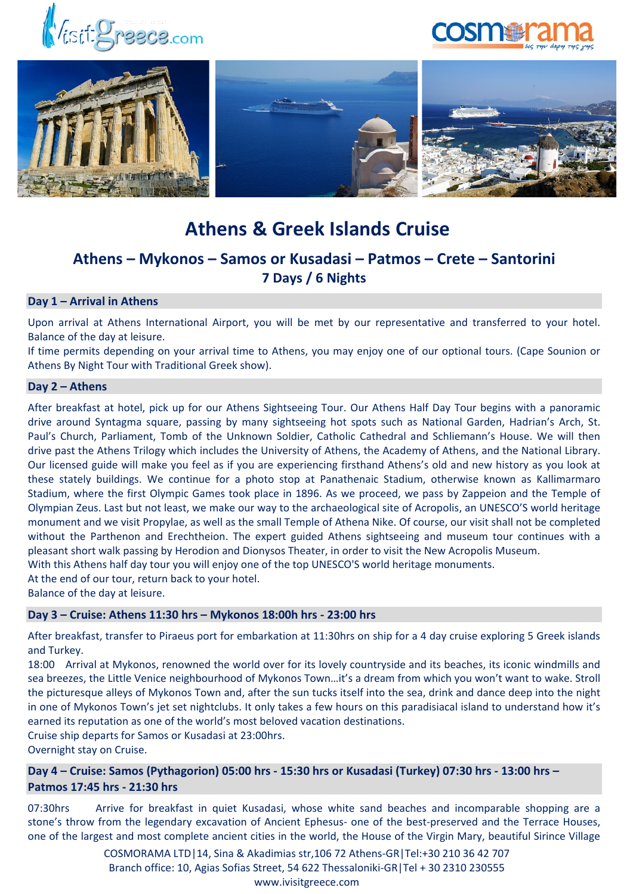





# **Athens & Greek Islands Cruise**

## **Athens – Mykonos – Samos or Kusadasi – Patmos – Crete – Santorini 7 Days / 6 Nights**

### **Day 1 – Arrival in Athens**

Upon arrival at Athens International Airport, you will be met by our representative and transferred to your hotel. Balance of the day at leisure.

If time permits depending on your arrival time to Athens, you may enjoy one of our optional tours. (Cape Sounion or Athens By Night Tour with Traditional Greek show).

#### **Day 2 – Athens**

After breakfast at hotel, pick up for our Athens Sightseeing Tour. Our Athens Half Day Tour begins with a panoramic drive around Syntagma square, passing by many sightseeing hot spots such as National Garden, Hadrian's Arch, St. Paul's Church, Parliament, Tomb of the Unknown Soldier, Catholic Cathedral and Schliemann's House. We will then drive past the Athens Trilogy which includes the University of Athens, the Academy of Athens, and the National Library. Our licensed guide will make you feel as if you are experiencing firsthand Athens's old and new history as you look at these stately buildings. We continue for a photo stop at Panathenaic Stadium, otherwise known as Kallimarmaro Stadium, where the first Olympic Games took place in 1896. As we proceed, we pass by Zappeion and the Temple of Olympian Zeus. Last but not least, we make our way to the archaeological site of Acropolis, an UNESCO'S world heritage monument and we visit Propylae, as well as the small Temple of Athena Nike. Of course, our visit shall not be completed without the Parthenon and Erechtheion. The expert guided Athens sightseeing and museum tour continues with a pleasant short walk passing by Herodion and Dionysos Theater, in order to visit the New Acropolis Museum. With this Athens half day tour you will enjoy one of the top UNESCO'S world heritage monuments.

At the end of our tour, return back to your hotel.

Balance of the day at leisure.

#### **Day 3 – Cruise: Athens 11:30 hrs – Mykonos 18:00h hrs - 23:00 hrs**

After breakfast, transfer to Piraeus port for embarkation at 11:30hrs on ship for a 4 day cruise exploring 5 Greek islands and Turkey.

18:00 Arrival at Mykonos, renowned the world over for its lovely countryside and its beaches, its iconic windmills and sea breezes, the Little Venice neighbourhood of Mykonos Town…it's a dream from which you won't want to wake. Stroll the picturesque alleys of Mykonos Town and, after the sun tucks itself into the sea, drink and dance deep into the night in one of Mykonos Town's jet set nightclubs. It only takes a few hours on this paradisiacal island to understand how it's earned its reputation as one of the world's most beloved vacation destinations.

Cruise ship departs for Samos or Kusadasi at 23:00hrs.

Overnight stay on Cruise.

**Day 4 – Cruise: Samos (Pythagorion) 05:00 hrs - 15:30 hrs or Kusadasi (Turkey) 07:30 hrs - 13:00 hrs – Patmos 17:45 hrs - 21:30 hrs**

07:30hrs Arrive for breakfast in quiet Kusadasi, whose white sand beaches and incomparable shopping are a stone's throw from the legendary excavation of Ancient Ephesus- one of the best-preserved and the Terrace Houses, one of the largest and most complete ancient cities in the world, the House of the Virgin Mary, beautiful Sirince Village

> COSMORAMA LTD|14, Sina & Akadimias str,106 72 Athens-GR|Tel:+30 210 36 42 707 Branch office: 10, Agias Sofias Street, 54 622 Thessaloniki-GR|Tel + 30 2310 230555 www.ivisitgreece.com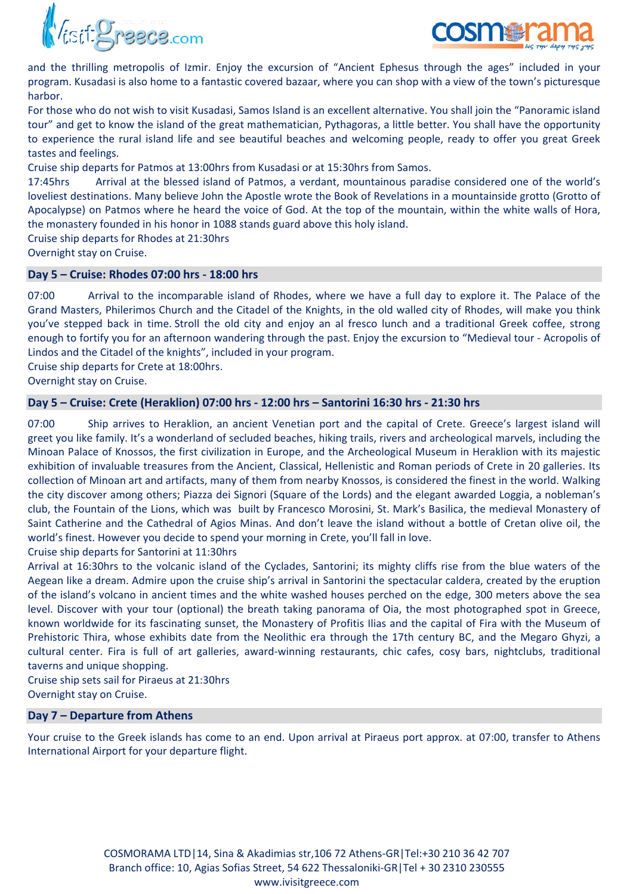



and the thrilling metropolis of Izmir. Enjoy the excursion of "Ancient Ephesus through the ages" included in your program. Kusadasi is also home to a fantastic covered bazaar, where you can shop with a view of the town's picturesque harbor.

For those who do not wish to visit Kusadasi, Samos Island is an excellent alternative. You shall join the "Panoramic island tour" and get to know the island of the great mathematician, Pythagoras, a little better. You shall have the opportunity to experience the rural island life and see beautiful beaches and welcoming people, ready to offer you great Greek tastes and feelings.

Cruise ship departs for Patmos at 13:00hrs from Kusadasi or at 15:30hrs from Samos.

17:45hrs Arrival at the blessed island of Patmos, a verdant, mountainous paradise considered one of the world's loveliest destinations. Many believe John the Apostle wrote the Book of Revelations in a mountainside grotto (Grotto of Apocalypse) on Patmos where he heard the voice of God. At the top of the mountain, within the white walls of Hora, the monastery founded in his honor in 1088 stands guard above this holy island.

Cruise ship departs for Rhodes at 21:30hrs

Overnight stay on Cruise.

#### **Day 5 – Cruise: Rhodes 07:00 hrs - 18:00 hrs**

07:00 Arrival to the incomparable island of Rhodes, where we have a full day to explore it. The Palace of the Grand Masters, Philerimos Church and the Citadel of the Knights, in the old walled city of Rhodes, will make you think you've stepped back in time. Stroll the old city and enjoy an al fresco lunch and a traditional Greek coffee, strong enough to fortify you for an afternoon wandering through the past. Enjoy the excursion to "Medieval tour - Acropolis of Lindos and the Citadel of the knights", included in your program.

Cruise ship departs for Crete at 18:00hrs.

Overnight stay on Cruise.

#### **Day 5 – Cruise: Crete (Heraklion) 07:00 hrs - 12:00 hrs – Santorini 16:30 hrs - 21:30 hrs**

07:00 Ship arrives to Heraklion, an ancient Venetian port and the capital of Crete. Greece's largest island will greet you like family. It's a wonderland of secluded beaches, hiking trails, rivers and archeological marvels, including the Minoan Palace of Knossos, the first civilization in Europe, and the Archeological Museum in Heraklion with its majestic exhibition of invaluable treasures from the Ancient, Classical, Hellenistic and Roman periods of Crete in 20 galleries. Its collection of Minoan art and artifacts, many of them from nearby Knossos, is considered the finest in the world. Walking the city discover among others; Piazza dei Signori (Square of the Lords) and the elegant awarded Loggia, a nobleman's club, the Fountain of the Lions, which was built by Francesco Morosini, St. Mark's Basilica, the medieval Monastery of Saint Catherine and the Cathedral of Agios Minas. And don't leave the island without a bottle of Cretan olive oil, the world's finest. However you decide to spend your morning in Crete, you'll fall in love.

Cruise ship departs for Santorini at 11:30hrs

Arrival at 16:30hrs to the volcanic island of the Cyclades, Santorini; its mighty cliffs rise from the blue waters of the Aegean like a dream. Admire upon the cruise ship's arrival in Santorini the spectacular caldera, created by the eruption of the island's volcano in ancient times and the white washed houses perched on the edge, 300 meters above the sea level. Discover with your tour (optional) the breath taking panorama of Oia, the most photographed spot in Greece, known worldwide for its fascinating sunset, the Monastery of Profitis Ilias and the capital of Fira with the Museum of Prehistoric Thira, whose exhibits date from the Neolithic era through the 17th century BC, and the Megaro Ghyzi, a cultural center. Fira is full of art galleries, award-winning restaurants, chic cafes, cosy bars, nightclubs, traditional taverns and unique shopping.

Cruise ship sets sail for Piraeus at 21:30hrs Overnight stay on Cruise.

#### **Day 7 – Departure from Athens**

Your cruise to the Greek islands has come to an end. Upon arrival at Piraeus port approx. at 07:00, transfer to Athens International Airport for your departure flight.